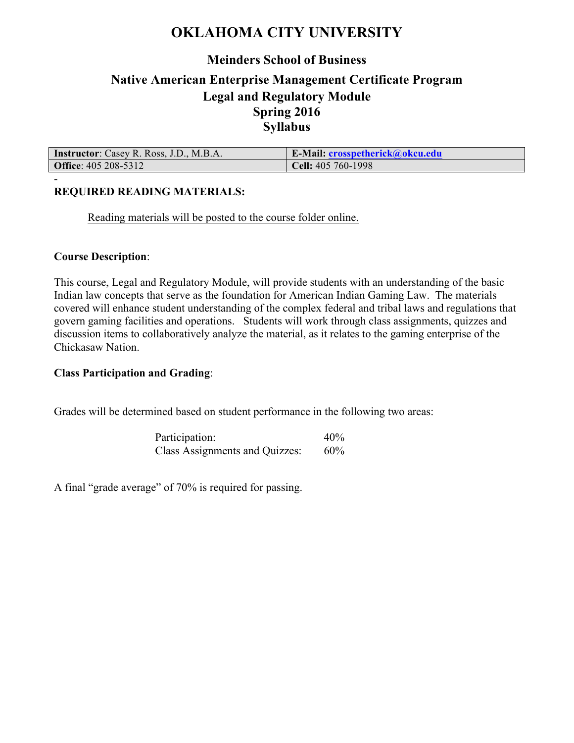# **OKLAHOMA CITY UNIVERSITY**

# **Meinders School of Business Native American Enterprise Management Certificate Program Legal and Regulatory Module Spring 2016 Syllabus**

| <b>Instructor:</b> Casey R. Ross, J.D., M.B.A. | <b>E-Mail: crosspetherick@okcu.edu</b> |
|------------------------------------------------|----------------------------------------|
| <b>Office:</b> 405 208-5312                    | $Cell: 405 760-1998$                   |

## **REQUIRED READING MATERIALS:**

Reading materials will be posted to the course folder online.

#### **Course Description**:

-

This course, Legal and Regulatory Module, will provide students with an understanding of the basic Indian law concepts that serve as the foundation for American Indian Gaming Law. The materials covered will enhance student understanding of the complex federal and tribal laws and regulations that govern gaming facilities and operations. Students will work through class assignments, quizzes and discussion items to collaboratively analyze the material, as it relates to the gaming enterprise of the Chickasaw Nation.

### **Class Participation and Grading**:

Grades will be determined based on student performance in the following two areas:

Participation: 40% Class Assignments and Quizzes: 60%

A final "grade average" of 70% is required for passing.